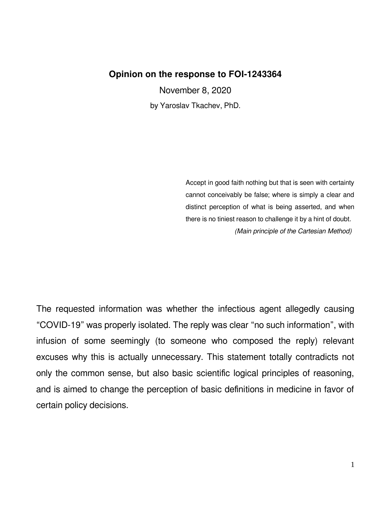## **Opinion on the response to FOI-1243364**

November 8, 2020

by Yaroslav Tkachev, PhD.

Accept in good faith nothing but that is seen with certainty cannot conceivably be false; where is simply a clear and distinct perception of what is being asserted, and when there is no tiniest reason to challenge it by a hint of doubt. (Main principle of the Cartesian Method)

The requested information was whether the infectious agent allegedly causing "COVID-19" was properly isolated. The reply was clear "no such information", with infusion of some seemingly (to someone who composed the reply) relevant excuses why this is actually unnecessary. This statement totally contradicts not only the common sense, but also basic scientific logical principles of reasoning, and is aimed to change the perception of basic definitions in medicine in favor of certain policy decisions.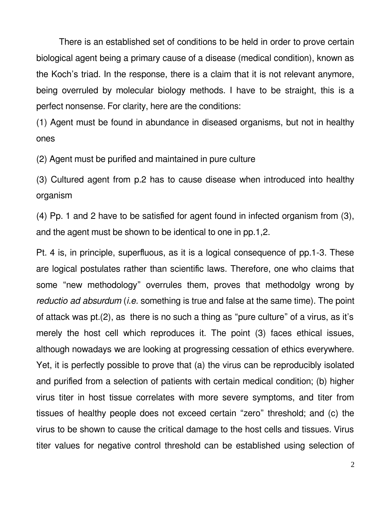There is an established set of conditions to be held in order to prove certain biological agent being a primary cause of a disease (medical condition), known as the Koch's triad. In the response, there is a claim that it is not relevant anymore, being overruled by molecular biology methods. I have to be straight, this is a perfect nonsense. For clarity, here are the conditions:

(1) Agent must be found in abundance in diseased organisms, but not in healthy ones

(2) Agent must be purified and maintained in pure culture

(3) Cultured agent from p.2 has to cause disease when introduced into healthy organism

(4) Pp. 1 and 2 have to be satisfied for agent found in infected organism from (3), and the agent must be shown to be identical to one in pp.1,2.

Pt. 4 is, in principle, superfluous, as it is a logical consequence of pp.1-3. These are logical postulates rather than scientific laws. Therefore, one who claims that some "new methodology" overrules them, proves that methodolgy wrong by reductio ad absurdum (*i.e.* something is true and false at the same time). The point of attack was pt.(2), as there is no such a thing as "pure culture" of a virus, as it's merely the host cell which reproduces it. The point (3) faces ethical issues, although nowadays we are looking at progressing cessation of ethics everywhere. Yet, it is perfectly possible to prove that (a) the virus can be reproducibly isolated and purified from a selection of patients with certain medical condition; (b) higher virus titer in host tissue correlates with more severe symptoms, and titer from tissues of healthy people does not exceed certain "zero" threshold; and (c) the virus to be shown to cause the critical damage to the host cells and tissues. Virus titer values for negative control threshold can be established using selection of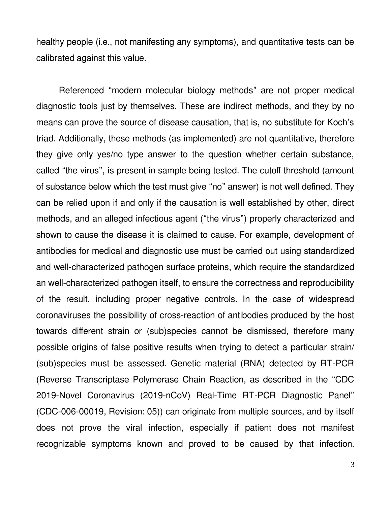healthy people (i.e., not manifesting any symptoms), and quantitative tests can be calibrated against this value.

Referenced "modern molecular biology methods" are not proper medical diagnostic tools just by themselves. These are indirect methods, and they by no means can prove the source of disease causation, that is, no substitute for Koch's triad. Additionally, these methods (as implemented) are not quantitative, therefore they give only yes/no type answer to the question whether certain substance, called "the virus", is present in sample being tested. The cutoff threshold (amount of substance below which the test must give "no" answer) is not well defined. They can be relied upon if and only if the causation is well established by other, direct methods, and an alleged infectious agent ("the virus") properly characterized and shown to cause the disease it is claimed to cause. For example, development of antibodies for medical and diagnostic use must be carried out using standardized and well-characterized pathogen surface proteins, which require the standardized an well-characterized pathogen itself, to ensure the correctness and reproducibility of the result, including proper negative controls. In the case of widespread coronaviruses the possibility of cross-reaction of antibodies produced by the host towards different strain or (sub)species cannot be dismissed, therefore many possible origins of false positive results when trying to detect a particular strain/ (sub)species must be assessed. Genetic material (RNA) detected by RT-PCR (Reverse Transcriptase Polymerase Chain Reaction, as described in the "CDC 2019-Novel Coronavirus (2019-nCoV) Real-Time RT-PCR Diagnostic Panel" (CDC-006-00019, Revision: 05)) can originate from multiple sources, and by itself does not prove the viral infection, especially if patient does not manifest recognizable symptoms known and proved to be caused by that infection.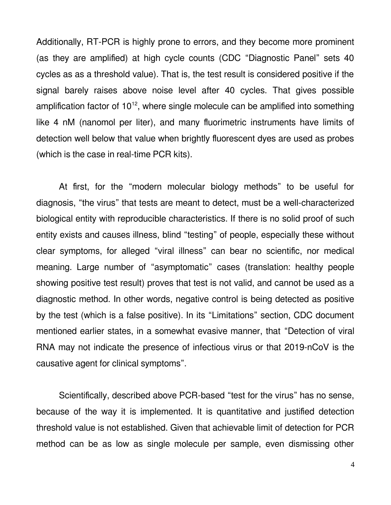Additionally, RT-PCR is highly prone to errors, and they become more prominent (as they are amplified) at high cycle counts (CDC "Diagnostic Panel" sets 40 cycles as as a threshold value). That is, the test result is considered positive if the signal barely raises above noise level after 40 cycles. That gives possible amplification factor of  $10^{12}$ , where single molecule can be amplified into something like 4 nM (nanomol per liter), and many fluorimetric instruments have limits of detection well below that value when brightly fluorescent dyes are used as probes (which is the case in real-time PCR kits).

At first, for the "modern molecular biology methods" to be useful for diagnosis, "the virus" that tests are meant to detect, must be a well-characterized biological entity with reproducible characteristics. If there is no solid proof of such entity exists and causes illness, blind "testing" of people, especially these without clear symptoms, for alleged "viral illness" can bear no scientific, nor medical meaning. Large number of "asymptomatic" cases (translation: healthy people showing positive test result) proves that test is not valid, and cannot be used as a diagnostic method. In other words, negative control is being detected as positive by the test (which is a false positive). In its "Limitations" section, CDC document mentioned earlier states, in a somewhat evasive manner, that "Detection of viral RNA may not indicate the presence of infectious virus or that 2019-nCoV is the causative agent for clinical symptoms".

Scientifically, described above PCR-based "test for the virus" has no sense, because of the way it is implemented. It is quantitative and justified detection threshold value is not established. Given that achievable limit of detection for PCR method can be as low as single molecule per sample, even dismissing other